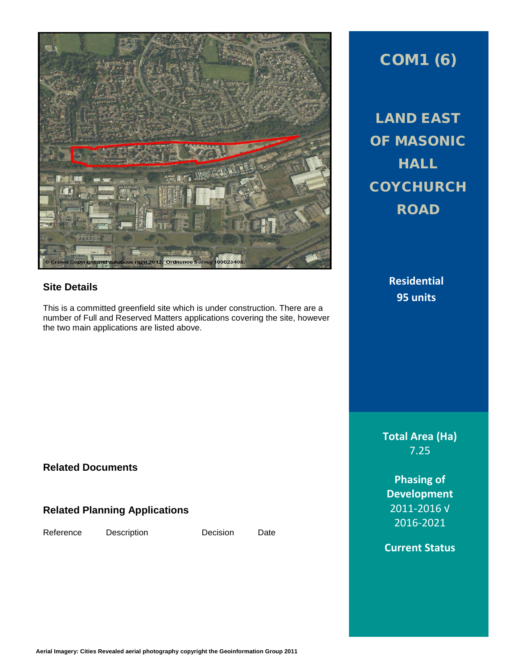

## **Site Details**

This is a committed greenfield site which is under construction. There are a number of Full and Reserved Matters applications covering the site, however the two main applications are listed above.

## COM1 (6)

LAND EAST OF MASONIC **HALL COYCHURCH** ROAD

> **Residential 95 units**

**Total Area (Ha)** 7.25

**Phasing of Development** 2011-2016 √ 2016-2021

**Current Status**

**Related Documents**

## **Related Planning Applications**

Reference Description Decision Date